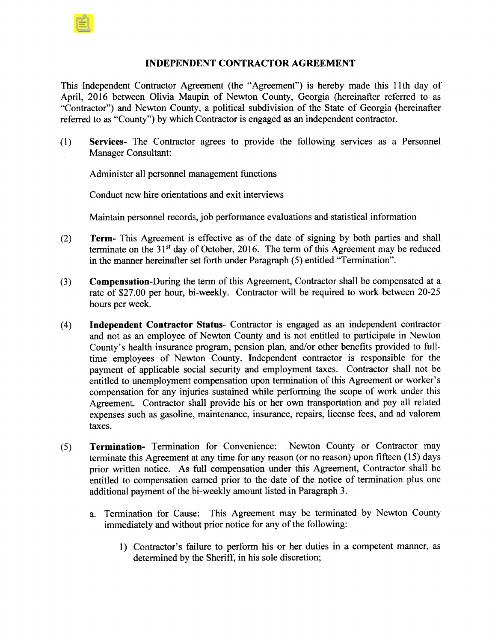## INDEPENDENT CONTRACTOR AGREEMENT

This Independent Contractor Agreement (the "Agreement") is hereby made this 11th day of April, 2016 between Olivia Maupin of Newton County, Georgia (hereinafter referred to as Contractor") and Newton County, a political subdivision of the State of Georgia ( hereinafter referred to as "County") by which Contractor is engaged as an independent contractor.

1) Services- The Contractor agrees to provide the following services as a Personnel Manager Consultant:

Administer all personnel management functions

Conduct new hire orientations and exit interviews

Maintain personnel records, job performance evaluations and statistical information

- 2) Term- This Agreement is effective as of the date of signing by both parties and shall terminate on the  $31<sup>st</sup>$  day of October, 2016. The term of this Agreement may be reduced in the manner hereinafter set forth under Paragraph (5) entitled "Termination".
- 3) Compensation- During the term of this Agreement, Contractor shall be compensated at <sup>a</sup> rate of \$27.00 per hour, bi-weekly. Contractor will be required to work between 20-25 hours per week.
- 4) Independent Contractor Status- Contractor is engaged as an independent contractor and not as an employee of Newton County and is not entitled to participate in Newton County's health insurance program, pension plan, and/or other benefits provided to fulltime employees of Newton County. Independent contractor is responsible for the payment of applicable social security and employment taxes. Contractor shall not be entitled to unemployment compensation upon termination of this Agreement or worker's compensation for any injuries sustained while performing the scope of work under this Agreement. Contractor shall provide his or her own transportation and pay all related expenses such as gasoline, maintenance, insurance, repairs, license fees, and ad valorem taxes.
- 5) Termination- Termination for Convenience: Newton County or Contractor may terminate this Agreement at any time for any reason (or no reason) upon fifteen ( 15) days prior written notice. As full compensation under this Agreement, Contractor shall be entitled to compensation earned prior to the date of the notice of termination plus one additional payment of the bi-weekly amount listed in Paragraph 3.
	- a. Termination for Cause: This Agreement may be terminated by Newton County immediately and without prior notice for any of the following:
		- 1) Contractor's failure to perform his or her duties in a competent manner, as determined by the Sheriff, in his sole discretion;